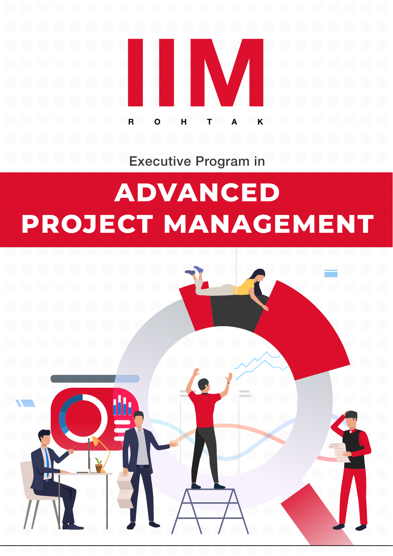

Executive Program in

# **ADVANCED PROJECT MANAGEMENT**

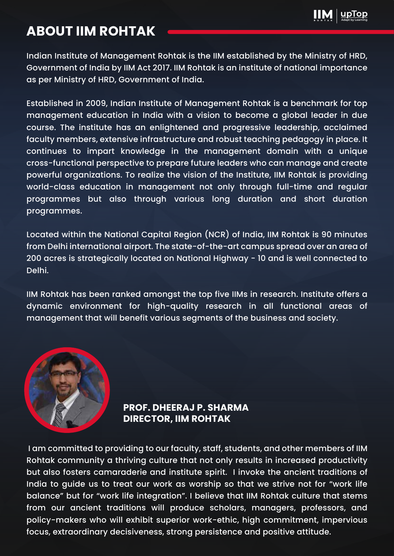

### **ABOUT IIM ROHTAK**

Indian Institute of Management Rohtak is the IIM established by the Ministry of HRD, Government of India by IIM Act 2017. IIM Rohtak is an institute of national importance as per Ministry of HRD, Government of India.

Established in 2009, Indian Institute of Management Rohtak is a benchmark for top management education in India with a vision to become a global leader in due course. The institute has an enlightened and progressive leadership, acclaimed faculty members, extensive infrastructure and robust teaching pedagogy in place. It continues to impart knowledge in the management domain with a unique cross-functional perspective to prepare future leaders who can manage and create powerful organizations. To realize the vision of the Institute, IIM Rohtak is providing world-class education in management not only through full-time and regular programmes but also through various long duration and short duration programmes.

Located within the National Capital Region (NCR) of India, IIM Rohtak is 90 minutes from Delhi international airport. The state-of-the-art campus spread over an area of 200 acres is strategically located on National Highway - 10 and is well connected to Delhi.

IIM Rohtak has been ranked amongst the top five IIMs in research. Institute offers a dynamic environment for high-quality research in all functional areas of management that will benefit various segments of the business and society.



**PROF. DHEERAJ P. SHARMA DIRECTOR, IIM ROHTAK**

 I am committed to providing to our faculty, staff, students, and other members of IIM Rohtak community a thriving culture that not only results in increased productivity but also fosters camaraderie and institute spirit. I invoke the ancient traditions of India to guide us to treat our work as worship so that we strive not for "work life balance" but for "work life integration". I believe that IIM Rohtak culture that stems from our ancient traditions will produce scholars, managers, professors, and policy-makers who will exhibit superior work-ethic, high commitment, impervious focus, extraordinary decisiveness, strong persistence and positive attitude.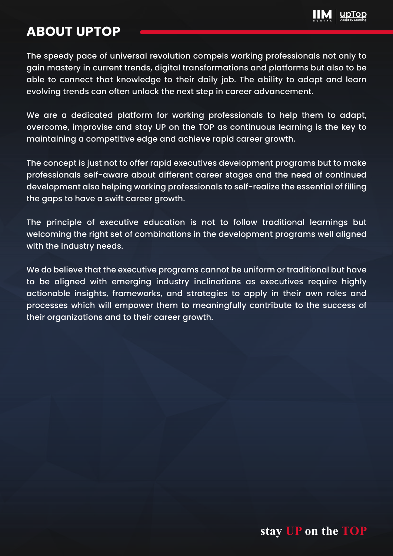

### **ABOUT UPTOP**

The speedy pace of universal revolution compels working professionals not only to gain mastery in current trends, digital transformations and platforms but also to be able to connect that knowledge to their daily job. The ability to adapt and learn evolving trends can often unlock the next step in career advancement.

We are a dedicated platform for working professionals to help them to adapt, overcome, improvise and stay UP on the TOP as continuous learning is the key to maintaining a competitive edge and achieve rapid career growth.

The concept is just not to offer rapid executives development programs but to make professionals self-aware about different career stages and the need of continued development also helping working professionals to self-realize the essential of filling the gaps to have a swift career growth.

The principle of executive education is not to follow traditional learnings but welcoming the right set of combinations in the development programs well aligned with the industry needs.

We do believe that the executive programs cannot be uniform or traditional but have to be aligned with emerging industry inclinations as executives require highly actionable insights, frameworks, and strategies to apply in their own roles and processes which will empower them to meaningfully contribute to the success of their organizations and to their career growth.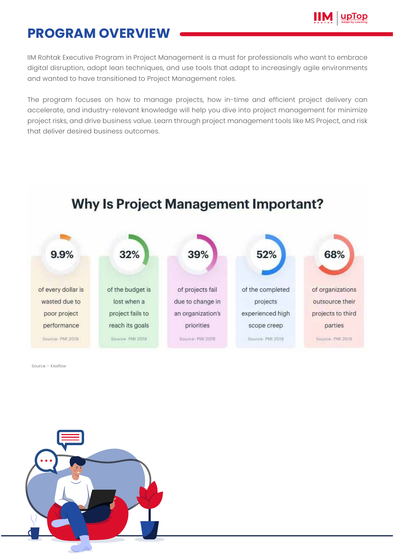

### **PROGRAM OVERVIEW**

IIM Rohtak Executive Program in Project Management is a must for professionals who want to embrace digital disruption, adopt lean techniques, and use tools that adapt to increasingly agile environments and wanted to have transitioned to Project Management roles.

The program focuses on how to manage projects, how in-time and efficient project delivery can accelerate, and industry-relevant knowledge will help you dive into project management for minimize project risks, and drive business value. Learn through project management tools like MS Project, and risk that deliver desired business outcomes.



Source :- Kissflow

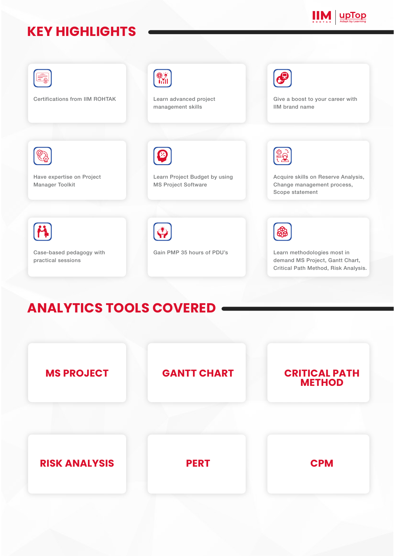# **KEY HIGHLIGHTS**





# **ANALYTICS TOOLS COVERED**

![](_page_4_Figure_4.jpeg)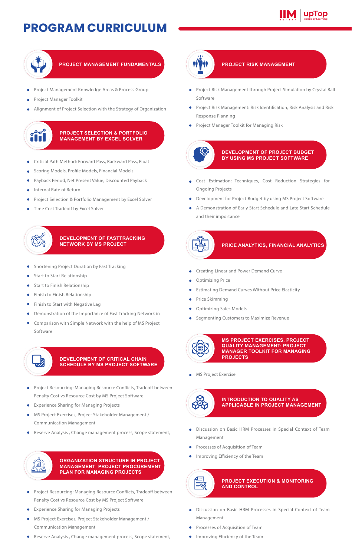# **PROGRAM CURRICULUM**

![](_page_5_Picture_1.jpeg)

![](_page_5_Picture_2.jpeg)

### **PROJECT MANAGEMENT FUNDAMENTALS**

- Project Management Knowledge Areas & Process Group  $\bullet$
- Project Manager Toolkit
- Alignment of Project Selection with the Strategy of Organization

#### **PROJECT SELECTION & PORTFOLIO MANAGEMENT BY EXCEL SOLVER**

- Critical Path Method: Forward Pass, Backward Pass, Float ò
- Scoring Models, Profile Models, Financial Models
- Payback Period, Net Present Value, Discounted Payback é
- Internal Rate of Return  $\ddot{\phantom{a}}$
- Project Selection & Portfolio Management by Excel Solver ö
- Time Cost Tradeoff by Excel Solver ò

#### **DEVELOPMENT OF FASTTRACKING NETWORK BY MS PROJECT**

- Shortening Project Duration by Fast Tracking
- Start to Start Relationship

م<del>ارس</del><br>مارس

- Start to Finish Relationship
- Finish to Finish Relationship
- Finish to Start with Negative Lag
- Demonstration of the Importance of Fast Tracking Network in  $\bullet$
- $\bullet$ Comparison with Simple Network with the help of MS Project Software

![](_page_5_Picture_22.jpeg)

#### **DEVELOPMENT OF CRITICAL CHAIN SCHEDULE BY MS PROJECT SOFTWARE**

- Project Resourcing: Managing Resource Conflicts, Tradeoff between  $\bullet$ Penalty Cost vs Resource Cost by MS Project Software
- Experience Sharing for Managing Projects  $\bullet$
- MS Project Exercises, Project Stakeholder Management / Communication Management
- Reserve Analysis , Change management process, Scope statement,  $\bullet$

![](_page_5_Picture_28.jpeg)

**ORGANIZATION STRUCTURE IN PROJECT MANAGEMENT PROJECT PROCUREMENT PLAN FOR MANAGING PROJECTS**

- Project Resourcing: Managing Resource Conflicts, Tradeoff between  $\bullet$ Penalty Cost vs Resource Cost by MS Project Software
- Experience Sharing for Managing Projects
- MS Project Exercises, Project Stakeholder Management / Communication Management
- $\bullet$ Reserve Analysis , Change management process, Scope statement,

![](_page_5_Picture_34.jpeg)

#### **PROJECT RISK MANAGEMENT**

- Project Risk Management through Project Simulation by Crystal Ball  $\bullet$ Software
- Project Risk Management: Risk Identification, Risk Analysis and Risk Response Planning
- Project Manager Toolkit for Managing Risk

![](_page_5_Picture_39.jpeg)

#### **DEVELOPMENT OF PROJECT BUDGET BY USING MS PROJECT SOFTWARE**

- Cost Estimation: Techniques, Cost Reduction Strategies for Ongoing Projects
- Development for Project Budget by using MS Project Software
- A Demonstration of Early Start Schedule and Late Start Schedule and their importance

![](_page_5_Figure_44.jpeg)

- Creating Linear and Power Demand Curve  $\bullet$
- Optimizing Price
- Estimating Demand Curves Without Price Elasticity
- Price Skimming
- Optimizing Sales Models
- Segmenting Customers to Maximize Revenue

![](_page_5_Picture_51.jpeg)

**MS PROJECT EXERCISES, PROJECT QUALITY MANAGEMENT: PROJECT MANAGER TOOLKIT FOR MANAGING PROJECTS**

MS Project Exercise

![](_page_5_Picture_54.jpeg)

#### **INTRODUCTION TO QUALITY AS APPLICABLE IN PROJECT MANAGEMENT**

- Discussion on Basic HRM Processes in Special Context of Team Management
- **•** Processes of Acquisition of Team
- Improving Efficiency of the Team  $\bullet$

![](_page_5_Picture_59.jpeg)

#### **PROJECT EXECUTION & MONITORING AND CONTROL**

- Discussion on Basic HRM Processes in Special Context of Team Management
- Processes of Acquisition of Team ٠
- **Improving Efficiency of the Team**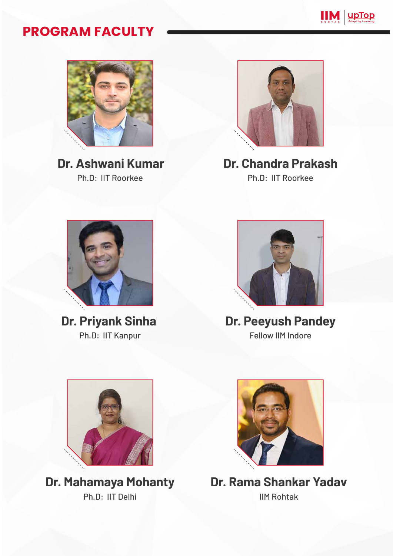![](_page_6_Picture_0.jpeg)

### **PROGRAM FACULTY**

![](_page_6_Picture_2.jpeg)

**Dr. Ashwani Kumar** Ph.D: IIT Roorkee

![](_page_6_Picture_4.jpeg)

**Dr. Chandra Prakash** Ph.D: IIT Roorkee

![](_page_6_Picture_6.jpeg)

**Dr. Priyank Sinha**  Ph.D: IIT Kanpur

![](_page_6_Picture_8.jpeg)

**Dr. Peeyush Pandey** Fellow IIM Indore

![](_page_6_Picture_10.jpeg)

**Dr. Mahamaya Mohanty** Ph.D: IIT Delhi

![](_page_6_Picture_12.jpeg)

**Dr. Rama Shankar Yadav** IIM Rohtak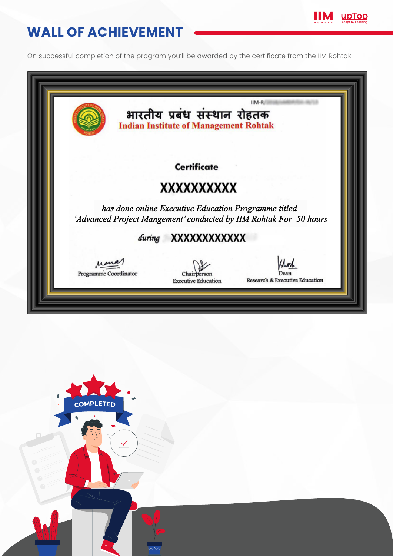# **WALL OF ACHIEVEMENT**

On successful completion of the program you'll be awarded by the certificate from the IIM Rohtak.

**Adapt by Learning** 

|                       |        | भारतीय प्रबंध संस्थान रोहतक<br><b>Indian Institute of Management Rohtak</b> | IIM-R                                                             |
|-----------------------|--------|-----------------------------------------------------------------------------|-------------------------------------------------------------------|
|                       |        | <b>Certificate</b>                                                          |                                                                   |
|                       |        | XXXXXXXXXX                                                                  |                                                                   |
|                       |        | has done online Executive Education Programme titled                        | 'Advanced Project Mangement' conducted by IIM Rohtak For 50 hours |
|                       | during | XXXXXXXXXXX                                                                 |                                                                   |
| Programme Coordinator |        | Chairbersor<br><b>Executive Education</b>                                   | Research & Executive Education                                    |

![](_page_7_Picture_3.jpeg)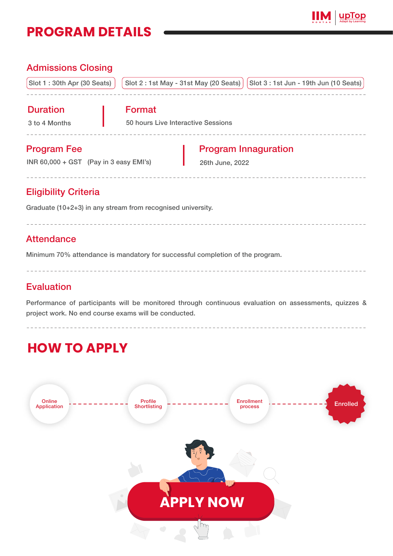### **PROGRAM DETAILS**

![](_page_8_Picture_1.jpeg)

### Admissions Closing Slot 1 : 30th Apr (30 Seats) | Slot 2 : 1st May - 31st May (20 Seats) | Slot 3 : 1st Jun - 19th Jun (10 Seats) Duration 3 to 4 Months Format 50 hours Live Interactive Sessions Program Fee INR 60,000 + GST (Pay in 3 easy EMI's) Program Innaguration 26th June, 2022

### Eligibility Criteria

Graduate (10+2+3) in any stream from recognised university.

### **Attendance**

Minimum 70% attendance is mandatory for successful completion of the program.

### Evaluation

Performance of participants will be monitored through continuous evaluation on assessments, quizzes & project work. No end course exams will be conducted.

# **HOW TO APPLY**

![](_page_8_Picture_10.jpeg)